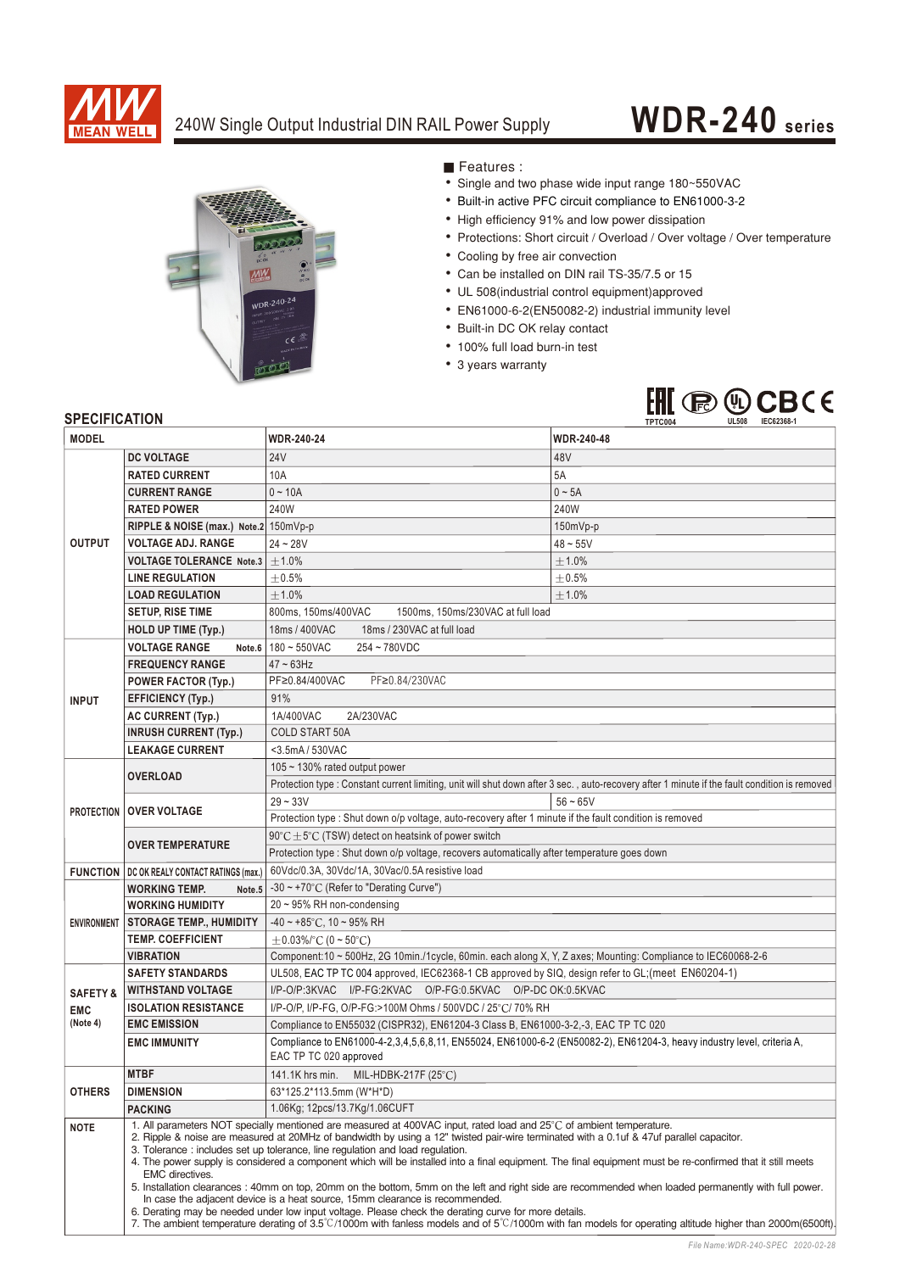

## 240W Single Output Industrial DIN RAIL Power Supply

## **WDR-240 series**



Features :

- Single and two phase wide input range 180~550VAC
- Built-in active PFC circuit compliance to EN61000-3-2
- High efficiency 91% and low power dissipation
- Protections: Short circuit / Overload / Over voltage / Over temperature
- Cooling by free air convection
- Can be installed on DIN rail TS-35/7.5 or 15
- UL 508(industrial control equipment)approved
- EN61000-6-2(EN50082-2) industrial immunity level
- Built-in DC OK relay contact
- 100% full load burn-in test
- 3 years warranty



## **SPECIFICATION**

| <b>MODEL</b>        |                                                                                                                                                                                                                                                                                                                                                                                                                                                                                                                                                                                                                                                                                                                                                                                                                                                                                                                                                                                                                                                | <b>WDR-240-24</b>                                                                                                                                | <b>WDR-240-48</b> |
|---------------------|------------------------------------------------------------------------------------------------------------------------------------------------------------------------------------------------------------------------------------------------------------------------------------------------------------------------------------------------------------------------------------------------------------------------------------------------------------------------------------------------------------------------------------------------------------------------------------------------------------------------------------------------------------------------------------------------------------------------------------------------------------------------------------------------------------------------------------------------------------------------------------------------------------------------------------------------------------------------------------------------------------------------------------------------|--------------------------------------------------------------------------------------------------------------------------------------------------|-------------------|
|                     | <b>DC VOLTAGE</b>                                                                                                                                                                                                                                                                                                                                                                                                                                                                                                                                                                                                                                                                                                                                                                                                                                                                                                                                                                                                                              | <b>24V</b>                                                                                                                                       | 48V               |
| <b>OUTPUT</b>       | <b>RATED CURRENT</b>                                                                                                                                                                                                                                                                                                                                                                                                                                                                                                                                                                                                                                                                                                                                                                                                                                                                                                                                                                                                                           | 10A                                                                                                                                              | 5A                |
|                     | <b>CURRENT RANGE</b>                                                                                                                                                                                                                                                                                                                                                                                                                                                                                                                                                                                                                                                                                                                                                                                                                                                                                                                                                                                                                           | $0 - 10A$                                                                                                                                        | $0 - 5A$          |
|                     | <b>RATED POWER</b>                                                                                                                                                                                                                                                                                                                                                                                                                                                                                                                                                                                                                                                                                                                                                                                                                                                                                                                                                                                                                             | 240W                                                                                                                                             | 240W              |
|                     | RIPPLE & NOISE (max.) Note.2 150mVp-p                                                                                                                                                                                                                                                                                                                                                                                                                                                                                                                                                                                                                                                                                                                                                                                                                                                                                                                                                                                                          |                                                                                                                                                  | 150mVp-p          |
|                     | <b>VOLTAGE ADJ. RANGE</b>                                                                                                                                                                                                                                                                                                                                                                                                                                                                                                                                                                                                                                                                                                                                                                                                                                                                                                                                                                                                                      | $24 - 28V$                                                                                                                                       | $48 - 55V$        |
|                     | <b>VOLTAGE TOLERANCE Note.3</b>                                                                                                                                                                                                                                                                                                                                                                                                                                                                                                                                                                                                                                                                                                                                                                                                                                                                                                                                                                                                                | $\pm 1.0\%$                                                                                                                                      | $\pm 1.0\%$       |
|                     | <b>LINE REGULATION</b>                                                                                                                                                                                                                                                                                                                                                                                                                                                                                                                                                                                                                                                                                                                                                                                                                                                                                                                                                                                                                         | $\pm 0.5\%$                                                                                                                                      | $\pm$ 0.5%        |
|                     | <b>LOAD REGULATION</b>                                                                                                                                                                                                                                                                                                                                                                                                                                                                                                                                                                                                                                                                                                                                                                                                                                                                                                                                                                                                                         | ±1.0%                                                                                                                                            | $\pm 1.0\%$       |
|                     | <b>SETUP, RISE TIME</b>                                                                                                                                                                                                                                                                                                                                                                                                                                                                                                                                                                                                                                                                                                                                                                                                                                                                                                                                                                                                                        | 800ms, 150ms/400VAC<br>1500ms, 150ms/230VAC at full load                                                                                         |                   |
|                     | <b>HOLD UP TIME (Typ.)</b>                                                                                                                                                                                                                                                                                                                                                                                                                                                                                                                                                                                                                                                                                                                                                                                                                                                                                                                                                                                                                     | 18ms / 400VAC<br>18ms / 230VAC at full load                                                                                                      |                   |
| <b>INPUT</b>        | <b>VOLTAGE RANGE</b><br>Note.6                                                                                                                                                                                                                                                                                                                                                                                                                                                                                                                                                                                                                                                                                                                                                                                                                                                                                                                                                                                                                 | 180~550VAC<br>254~780VDC                                                                                                                         |                   |
|                     | <b>FREQUENCY RANGE</b>                                                                                                                                                                                                                                                                                                                                                                                                                                                                                                                                                                                                                                                                                                                                                                                                                                                                                                                                                                                                                         | $47 \sim 63$ Hz                                                                                                                                  |                   |
|                     | <b>POWER FACTOR (Typ.)</b>                                                                                                                                                                                                                                                                                                                                                                                                                                                                                                                                                                                                                                                                                                                                                                                                                                                                                                                                                                                                                     | PF≥0.84/230VAC<br>PF≥0.84/400VAC                                                                                                                 |                   |
|                     | EFFICIENCY (Typ.)                                                                                                                                                                                                                                                                                                                                                                                                                                                                                                                                                                                                                                                                                                                                                                                                                                                                                                                                                                                                                              | 91%                                                                                                                                              |                   |
|                     | <b>AC CURRENT (Typ.)</b>                                                                                                                                                                                                                                                                                                                                                                                                                                                                                                                                                                                                                                                                                                                                                                                                                                                                                                                                                                                                                       | 1A/400VAC<br>2A/230VAC                                                                                                                           |                   |
|                     | <b>INRUSH CURRENT (Typ.)</b>                                                                                                                                                                                                                                                                                                                                                                                                                                                                                                                                                                                                                                                                                                                                                                                                                                                                                                                                                                                                                   | <b>COLD START 50A</b>                                                                                                                            |                   |
|                     | <b>LEAKAGE CURRENT</b>                                                                                                                                                                                                                                                                                                                                                                                                                                                                                                                                                                                                                                                                                                                                                                                                                                                                                                                                                                                                                         | <3.5mA / 530VAC                                                                                                                                  |                   |
| <b>PROTECTION</b>   | 105 ~ 130% rated output power                                                                                                                                                                                                                                                                                                                                                                                                                                                                                                                                                                                                                                                                                                                                                                                                                                                                                                                                                                                                                  |                                                                                                                                                  |                   |
|                     | <b>OVERLOAD</b>                                                                                                                                                                                                                                                                                                                                                                                                                                                                                                                                                                                                                                                                                                                                                                                                                                                                                                                                                                                                                                | Protection type : Constant current limiting, unit will shut down after 3 sec., auto-recovery after 1 minute if the fault condition is removed    |                   |
|                     | <b>OVER VOLTAGE</b>                                                                                                                                                                                                                                                                                                                                                                                                                                                                                                                                                                                                                                                                                                                                                                                                                                                                                                                                                                                                                            | $29 - 33V$                                                                                                                                       | $56 - 65V$        |
|                     |                                                                                                                                                                                                                                                                                                                                                                                                                                                                                                                                                                                                                                                                                                                                                                                                                                                                                                                                                                                                                                                | Protection type : Shut down o/p voltage, auto-recovery after 1 minute if the fault condition is removed                                          |                   |
|                     | <b>OVER TEMPERATURE</b>                                                                                                                                                                                                                                                                                                                                                                                                                                                                                                                                                                                                                                                                                                                                                                                                                                                                                                                                                                                                                        | 90°C ± 5°C (TSW) detect on heatsink of power switch                                                                                              |                   |
|                     |                                                                                                                                                                                                                                                                                                                                                                                                                                                                                                                                                                                                                                                                                                                                                                                                                                                                                                                                                                                                                                                | Protection type : Shut down o/p voltage, recovers automatically after temperature goes down                                                      |                   |
|                     | <b>FUNCTION   DC OK REALY CONTACT RATINGS (max.)</b>                                                                                                                                                                                                                                                                                                                                                                                                                                                                                                                                                                                                                                                                                                                                                                                                                                                                                                                                                                                           | 60Vdc/0.3A, 30Vdc/1A, 30Vac/0.5A resistive load                                                                                                  |                   |
|                     | -30 $\sim$ +70°C (Refer to "Derating Curve")<br><b>WORKING TEMP.</b><br>Note.5                                                                                                                                                                                                                                                                                                                                                                                                                                                                                                                                                                                                                                                                                                                                                                                                                                                                                                                                                                 |                                                                                                                                                  |                   |
| <b>ENVIRONMENT</b>  | <b>WORKING HUMIDITY</b>                                                                                                                                                                                                                                                                                                                                                                                                                                                                                                                                                                                                                                                                                                                                                                                                                                                                                                                                                                                                                        | $20 \sim 95\%$ RH non-condensing                                                                                                                 |                   |
|                     | <b>STORAGE TEMP., HUMIDITY</b>                                                                                                                                                                                                                                                                                                                                                                                                                                                                                                                                                                                                                                                                                                                                                                                                                                                                                                                                                                                                                 | $-40 \sim +85$ °C, 10 ~ 95% RH                                                                                                                   |                   |
|                     | <b>TEMP. COEFFICIENT</b>                                                                                                                                                                                                                                                                                                                                                                                                                                                                                                                                                                                                                                                                                                                                                                                                                                                                                                                                                                                                                       | $\pm$ 0.03%/°C (0 ~ 50°C)                                                                                                                        |                   |
|                     | <b>VIBRATION</b>                                                                                                                                                                                                                                                                                                                                                                                                                                                                                                                                                                                                                                                                                                                                                                                                                                                                                                                                                                                                                               | Component:10 ~ 500Hz, 2G 10min./1cycle, 60min. each along X, Y, Z axes; Mounting: Compliance to IEC60068-2-6                                     |                   |
|                     | <b>SAFETY STANDARDS</b>                                                                                                                                                                                                                                                                                                                                                                                                                                                                                                                                                                                                                                                                                                                                                                                                                                                                                                                                                                                                                        | UL508, EAC TP TC 004 approved, IEC62368-1 CB approved by SIQ, design refer to GL; (meet EN60204-1)                                               |                   |
| <b>SAFETY &amp;</b> | <b>WITHSTAND VOLTAGE</b>                                                                                                                                                                                                                                                                                                                                                                                                                                                                                                                                                                                                                                                                                                                                                                                                                                                                                                                                                                                                                       | I/P-O/P:3KVAC I/P-FG:2KVAC O/P-FG:0.5KVAC O/P-DCOK:0.5KVAC                                                                                       |                   |
| <b>EMC</b>          | <b>ISOLATION RESISTANCE</b>                                                                                                                                                                                                                                                                                                                                                                                                                                                                                                                                                                                                                                                                                                                                                                                                                                                                                                                                                                                                                    | I/P-O/P, I/P-FG, O/P-FG:>100M Ohms / 500VDC / 25°C/ 70% RH                                                                                       |                   |
| (Note 4)            | <b>EMC EMISSION</b>                                                                                                                                                                                                                                                                                                                                                                                                                                                                                                                                                                                                                                                                                                                                                                                                                                                                                                                                                                                                                            | Compliance to EN55032 (CISPR32), EN61204-3 Class B, EN61000-3-2,-3, EAC TP TC 020                                                                |                   |
|                     | <b>EMC IMMUNITY</b>                                                                                                                                                                                                                                                                                                                                                                                                                                                                                                                                                                                                                                                                                                                                                                                                                                                                                                                                                                                                                            | Compliance to EN61000-4-2,3,4,5,6,8,11, EN55024, EN61000-6-2 (EN50082-2), EN61204-3, heavy industry level, criteria A,<br>EAC TP TC 020 approved |                   |
|                     | <b>MTBF</b><br>141.1K hrs min. MIL-HDBK-217F (25°C)                                                                                                                                                                                                                                                                                                                                                                                                                                                                                                                                                                                                                                                                                                                                                                                                                                                                                                                                                                                            |                                                                                                                                                  |                   |
| <b>OTHERS</b>       | <b>DIMENSION</b>                                                                                                                                                                                                                                                                                                                                                                                                                                                                                                                                                                                                                                                                                                                                                                                                                                                                                                                                                                                                                               | 63*125.2*113.5mm (W*H*D)                                                                                                                         |                   |
|                     | <b>PACKING</b>                                                                                                                                                                                                                                                                                                                                                                                                                                                                                                                                                                                                                                                                                                                                                                                                                                                                                                                                                                                                                                 | 1.06Kg; 12pcs/13.7Kg/1.06CUFT                                                                                                                    |                   |
| <b>NOTE</b>         | 1. All parameters NOT specially mentioned are measured at 400VAC input, rated load and 25°C of ambient temperature.<br>2. Ripple & noise are measured at 20MHz of bandwidth by using a 12" twisted pair-wire terminated with a 0.1uf & 47uf parallel capacitor.<br>3. Tolerance: includes set up tolerance, line regulation and load regulation.<br>4. The power supply is considered a component which will be installed into a final equipment. The final equipment must be re-confirmed that it still meets<br>EMC directives.<br>5. Installation clearances: 40mm on top, 20mm on the bottom, 5mm on the left and right side are recommended when loaded permanently with full power.<br>In case the adjacent device is a heat source, 15mm clearance is recommended.<br>6. Derating may be needed under low input voltage. Please check the derating curve for more details.<br>7. The ambient temperature derating of 3.5°C/1000m with fanless models and of 5°C/1000m with fan models for operating altitude higher than 2000m(6500ft). |                                                                                                                                                  |                   |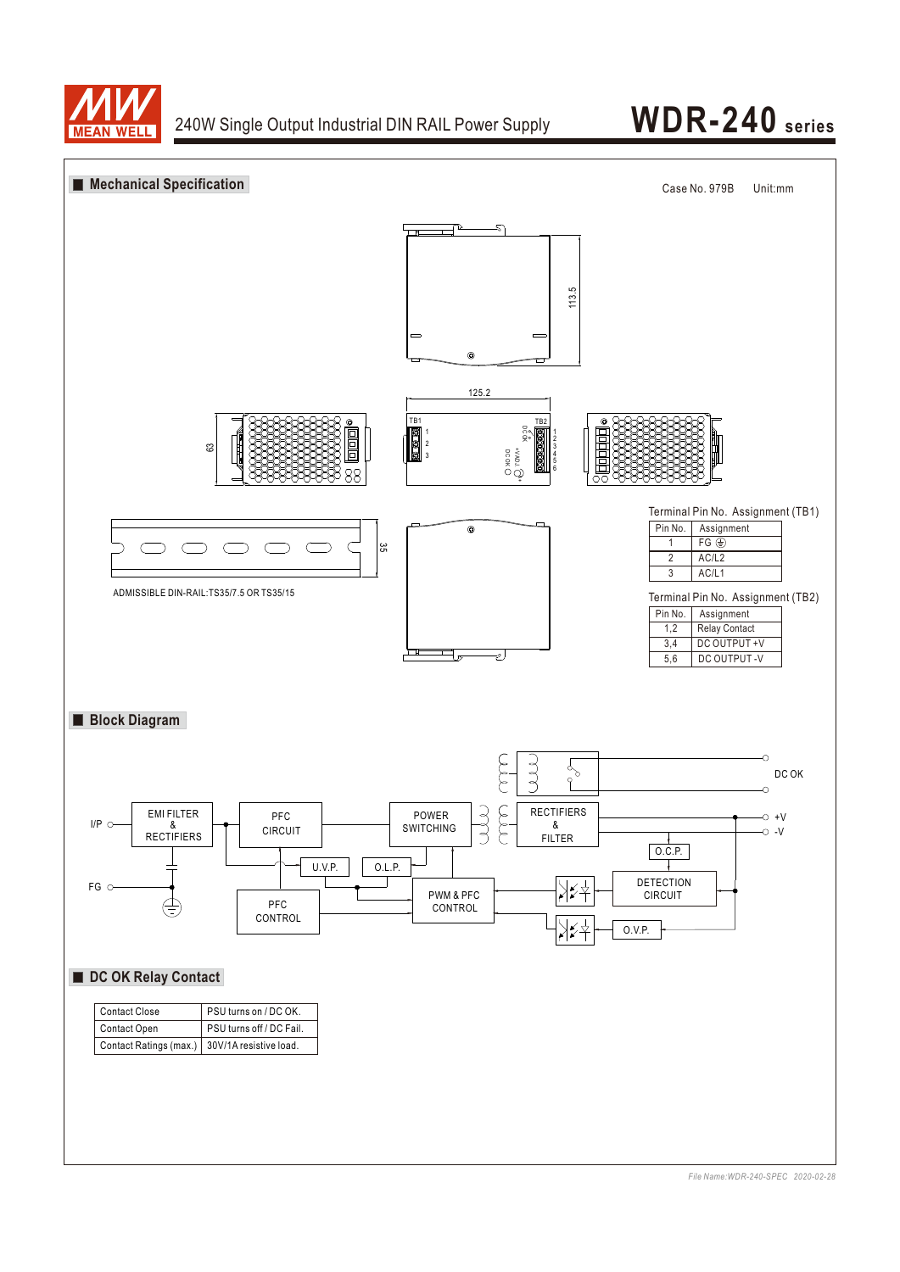



*File Name:WDR-240-SPEC 2020-02-28*